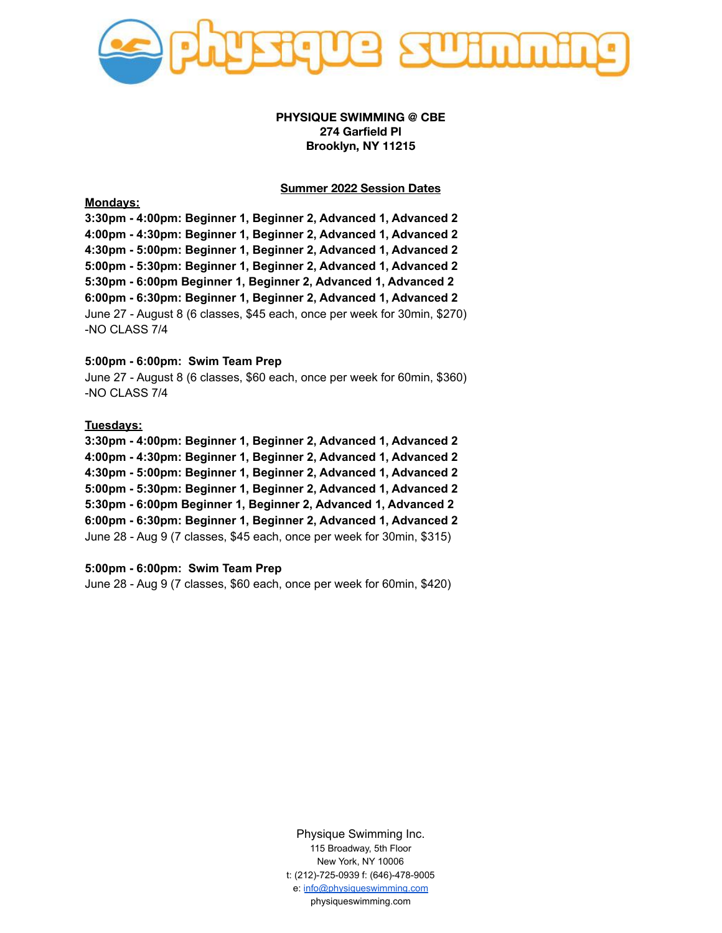

# **PHYSIQUE SWIMMING @ CBE 274 Garfield Pl Brooklyn, NY 11215**

# **Summer 2022 Session Dates**

**Mondays:**

**3:30pm - 4:00pm: Beginner 1, Beginner 2, Advanced 1, Advanced 2 4:00pm - 4:30pm: Beginner 1, Beginner 2, Advanced 1, Advanced 2 4:30pm - 5:00pm: Beginner 1, Beginner 2, Advanced 1, Advanced 2 5:00pm - 5:30pm: Beginner 1, Beginner 2, Advanced 1, Advanced 2 5:30pm - 6:00pm Beginner 1, Beginner 2, Advanced 1, Advanced 2 6:00pm - 6:30pm: Beginner 1, Beginner 2, Advanced 1, Advanced 2** June 27 - August 8 (6 classes, \$45 each, once per week for 30min, \$270) -NO CLASS 7/4

#### **5:00pm - 6:00pm: Swim Team Prep**

June 27 - August 8 (6 classes, \$60 each, once per week for 60min, \$360) -NO CLASS 7/4

#### **Tuesdays:**

**3:30pm - 4:00pm: Beginner 1, Beginner 2, Advanced 1, Advanced 2 4:00pm - 4:30pm: Beginner 1, Beginner 2, Advanced 1, Advanced 2 4:30pm - 5:00pm: Beginner 1, Beginner 2, Advanced 1, Advanced 2 5:00pm - 5:30pm: Beginner 1, Beginner 2, Advanced 1, Advanced 2 5:30pm - 6:00pm Beginner 1, Beginner 2, Advanced 1, Advanced 2 6:00pm - 6:30pm: Beginner 1, Beginner 2, Advanced 1, Advanced 2** June 28 - Aug 9 (7 classes, \$45 each, once per week for 30min, \$315)

# **5:00pm - 6:00pm: Swim Team Prep**

June 28 - Aug 9 (7 classes, \$60 each, once per week for 60min, \$420)

Physique Swimming Inc. 115 Broadway, 5th Floor New York, NY 10006 t: (212)-725-0939 f: (646)-478-9005 e: [info@physiqueswimming.com](mailto:info@physiqueswimming.com) physiqueswimming.com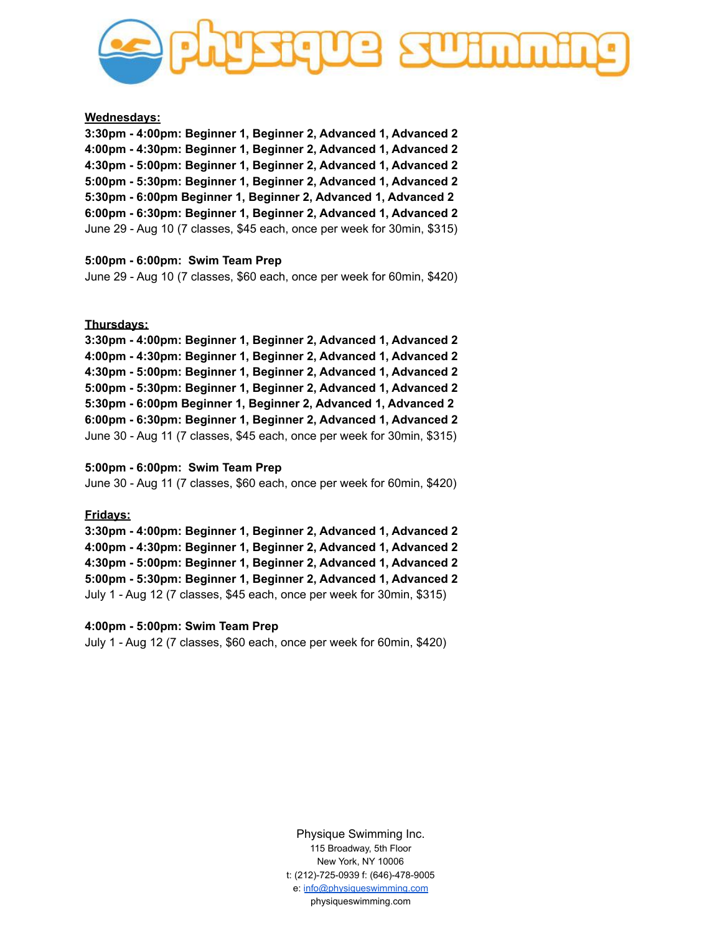

# **Wednesdays:**

**3:30pm - 4:00pm: Beginner 1, Beginner 2, Advanced 1, Advanced 2 4:00pm - 4:30pm: Beginner 1, Beginner 2, Advanced 1, Advanced 2 4:30pm - 5:00pm: Beginner 1, Beginner 2, Advanced 1, Advanced 2 5:00pm - 5:30pm: Beginner 1, Beginner 2, Advanced 1, Advanced 2 5:30pm - 6:00pm Beginner 1, Beginner 2, Advanced 1, Advanced 2 6:00pm - 6:30pm: Beginner 1, Beginner 2, Advanced 1, Advanced 2** June 29 - Aug 10 (7 classes, \$45 each, once per week for 30min, \$315)

#### **5:00pm - 6:00pm: Swim Team Prep**

June 29 - Aug 10 (7 classes, \$60 each, once per week for 60min, \$420)

#### **Thursdays:**

**3:30pm - 4:00pm: Beginner 1, Beginner 2, Advanced 1, Advanced 2 4:00pm - 4:30pm: Beginner 1, Beginner 2, Advanced 1, Advanced 2 4:30pm - 5:00pm: Beginner 1, Beginner 2, Advanced 1, Advanced 2 5:00pm - 5:30pm: Beginner 1, Beginner 2, Advanced 1, Advanced 2 5:30pm - 6:00pm Beginner 1, Beginner 2, Advanced 1, Advanced 2 6:00pm - 6:30pm: Beginner 1, Beginner 2, Advanced 1, Advanced 2** June 30 - Aug 11 (7 classes, \$45 each, once per week for 30min, \$315)

#### **5:00pm - 6:00pm: Swim Team Prep**

June 30 - Aug 11 (7 classes, \$60 each, once per week for 60min, \$420)

#### **Fridays:**

**3:30pm - 4:00pm: Beginner 1, Beginner 2, Advanced 1, Advanced 2 4:00pm - 4:30pm: Beginner 1, Beginner 2, Advanced 1, Advanced 2 4:30pm - 5:00pm: Beginner 1, Beginner 2, Advanced 1, Advanced 2 5:00pm - 5:30pm: Beginner 1, Beginner 2, Advanced 1, Advanced 2** July 1 - Aug 12 (7 classes, \$45 each, once per week for 30min, \$315)

#### **4:00pm - 5:00pm: Swim Team Prep**

July 1 - Aug 12 (7 classes, \$60 each, once per week for 60min, \$420)

Physique Swimming Inc. 115 Broadway, 5th Floor New York, NY 10006 t: (212)-725-0939 f: (646)-478-9005 e: [info@physiqueswimming.com](mailto:info@physiqueswimming.com) physiqueswimming.com